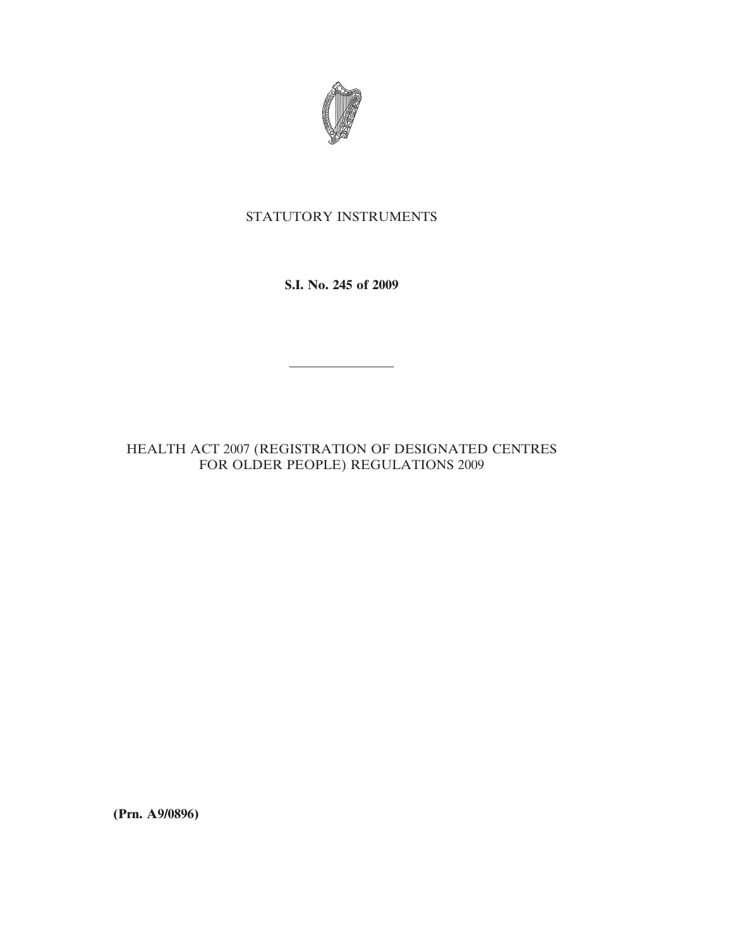

# STATUTORY INSTRUMENTS

**S.I. No. 245 of 2009**

————————

HEALTH ACT 2007 (REGISTRATION OF DESIGNATED CENTRES FOR OLDER PEOPLE) REGULATIONS 2009

**(Prn. A9/0896)**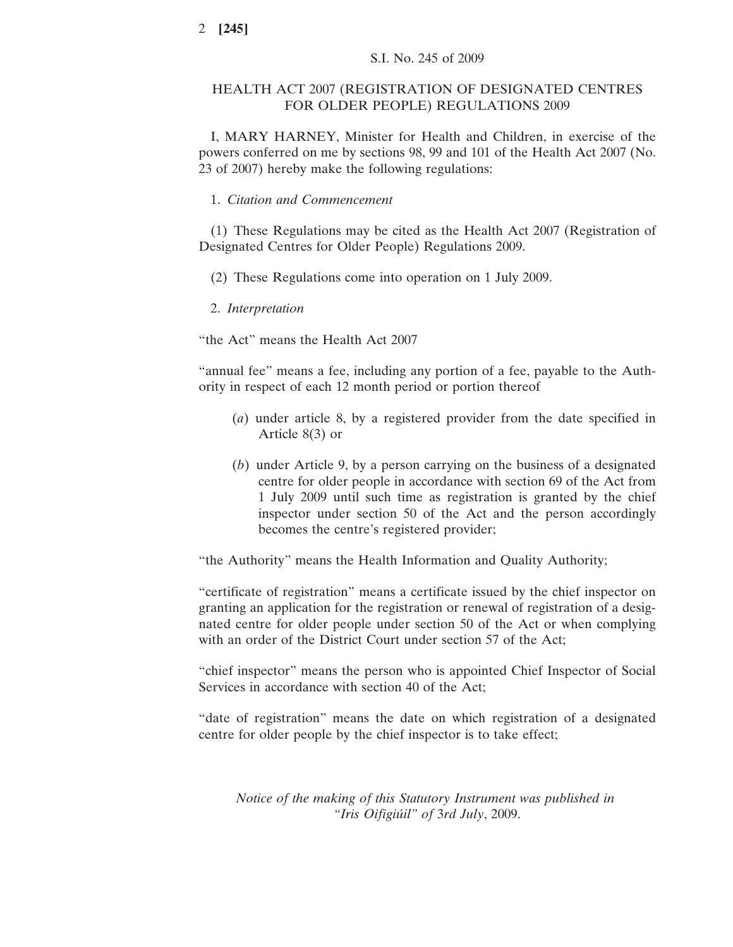# HEALTH ACT 2007 (REGISTRATION OF DESIGNATED CENTRES FOR OLDER PEOPLE) REGULATIONS 2009

I, MARY HARNEY, Minister for Health and Children, in exercise of the powers conferred on me by sections 98, 99 and 101 of the Health Act 2007 (No. 23 of 2007) hereby make the following regulations:

1. *Citation and Commencement*

(1) These Regulations may be cited as the Health Act 2007 (Registration of Designated Centres for Older People) Regulations 2009.

- (2) These Regulations come into operation on 1 July 2009.
- 2. *Interpretation*

"the Act" means the Health Act 2007

"annual fee" means a fee, including any portion of a fee, payable to the Authority in respect of each 12 month period or portion thereof

- (*a*) under article 8, by a registered provider from the date specified in Article 8(3) or
- (*b*) under Article 9, by a person carrying on the business of a designated centre for older people in accordance with section 69 of the Act from 1 July 2009 until such time as registration is granted by the chief inspector under section 50 of the Act and the person accordingly becomes the centre's registered provider;

"the Authority" means the Health Information and Quality Authority;

"certificate of registration" means a certificate issued by the chief inspector on granting an application for the registration or renewal of registration of a designated centre for older people under section 50 of the Act or when complying with an order of the District Court under section 57 of the Act;

"chief inspector" means the person who is appointed Chief Inspector of Social Services in accordance with section 40 of the Act;

"date of registration" means the date on which registration of a designated centre for older people by the chief inspector is to take effect;

*Notice of the making of this Statutory Instrument was published in "Iris Oifigiu´il" of* 3*rd July*, 2009.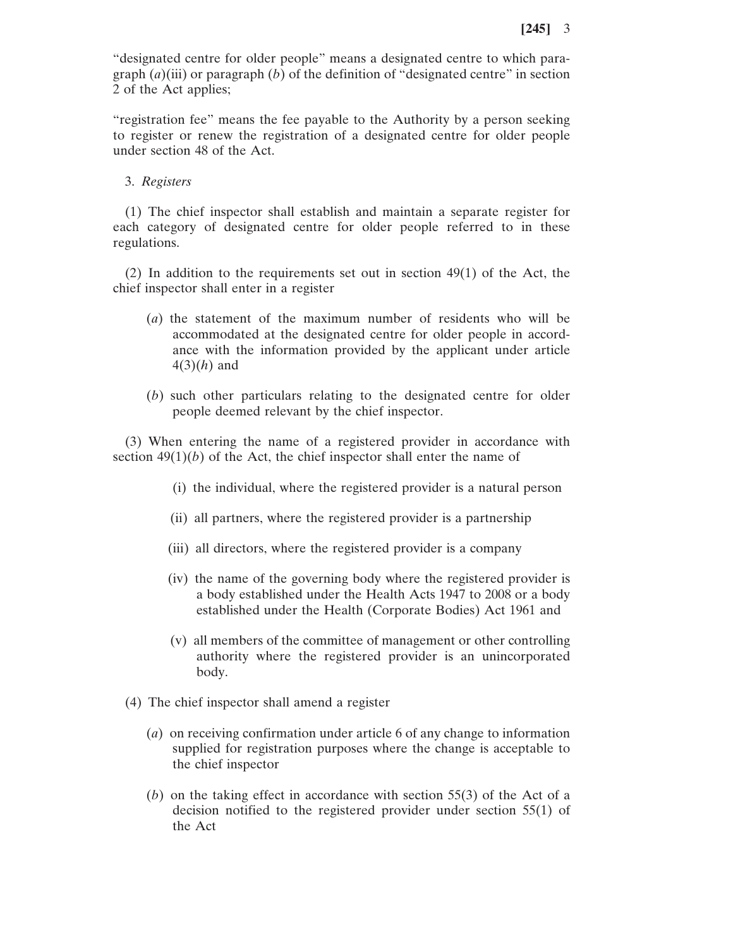"designated centre for older people" means a designated centre to which paragraph (*a*)(iii) or paragraph (*b*) of the definition of "designated centre" in section 2 of the Act applies;

"registration fee" means the fee payable to the Authority by a person seeking to register or renew the registration of a designated centre for older people under section 48 of the Act.

3. *Registers*

(1) The chief inspector shall establish and maintain a separate register for each category of designated centre for older people referred to in these regulations.

(2) In addition to the requirements set out in section 49(1) of the Act, the chief inspector shall enter in a register

- (*a*) the statement of the maximum number of residents who will be accommodated at the designated centre for older people in accordance with the information provided by the applicant under article 4(3)(*h*) and
- (*b*) such other particulars relating to the designated centre for older people deemed relevant by the chief inspector.

(3) When entering the name of a registered provider in accordance with section  $49(1)(b)$  of the Act, the chief inspector shall enter the name of

- (i) the individual, where the registered provider is a natural person
- (ii) all partners, where the registered provider is a partnership
- (iii) all directors, where the registered provider is a company
- (iv) the name of the governing body where the registered provider is a body established under the Health Acts 1947 to 2008 or a body established under the Health (Corporate Bodies) Act 1961 and
- (v) all members of the committee of management or other controlling authority where the registered provider is an unincorporated body.
- (4) The chief inspector shall amend a register
	- (*a*) on receiving confirmation under article 6 of any change to information supplied for registration purposes where the change is acceptable to the chief inspector
	- (*b*) on the taking effect in accordance with section 55(3) of the Act of a decision notified to the registered provider under section 55(1) of the Act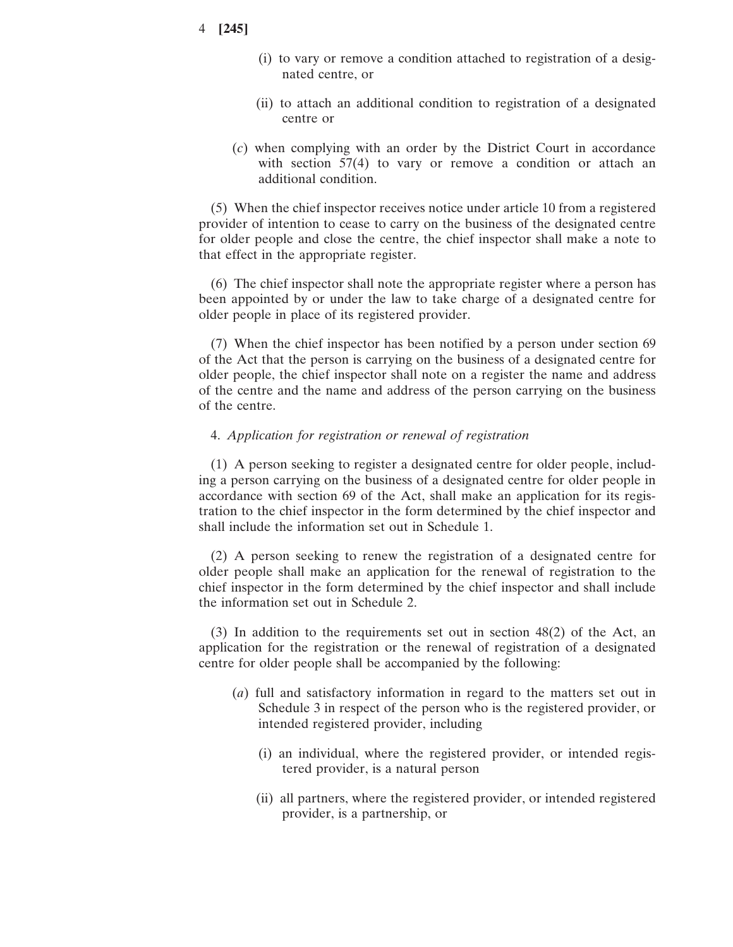- 4 **[245]**
- (i) to vary or remove a condition attached to registration of a designated centre, or
- (ii) to attach an additional condition to registration of a designated centre or
- (*c*) when complying with an order by the District Court in accordance with section  $57(4)$  to vary or remove a condition or attach an additional condition.

(5) When the chief inspector receives notice under article 10 from a registered provider of intention to cease to carry on the business of the designated centre for older people and close the centre, the chief inspector shall make a note to that effect in the appropriate register.

(6) The chief inspector shall note the appropriate register where a person has been appointed by or under the law to take charge of a designated centre for older people in place of its registered provider.

(7) When the chief inspector has been notified by a person under section 69 of the Act that the person is carrying on the business of a designated centre for older people, the chief inspector shall note on a register the name and address of the centre and the name and address of the person carrying on the business of the centre.

#### 4. *Application for registration or renewal of registration*

(1) A person seeking to register a designated centre for older people, including a person carrying on the business of a designated centre for older people in accordance with section 69 of the Act, shall make an application for its registration to the chief inspector in the form determined by the chief inspector and shall include the information set out in Schedule 1.

(2) A person seeking to renew the registration of a designated centre for older people shall make an application for the renewal of registration to the chief inspector in the form determined by the chief inspector and shall include the information set out in Schedule 2.

(3) In addition to the requirements set out in section 48(2) of the Act, an application for the registration or the renewal of registration of a designated centre for older people shall be accompanied by the following:

- (*a*) full and satisfactory information in regard to the matters set out in Schedule 3 in respect of the person who is the registered provider, or intended registered provider, including
	- (i) an individual, where the registered provider, or intended registered provider, is a natural person
	- (ii) all partners, where the registered provider, or intended registered provider, is a partnership, or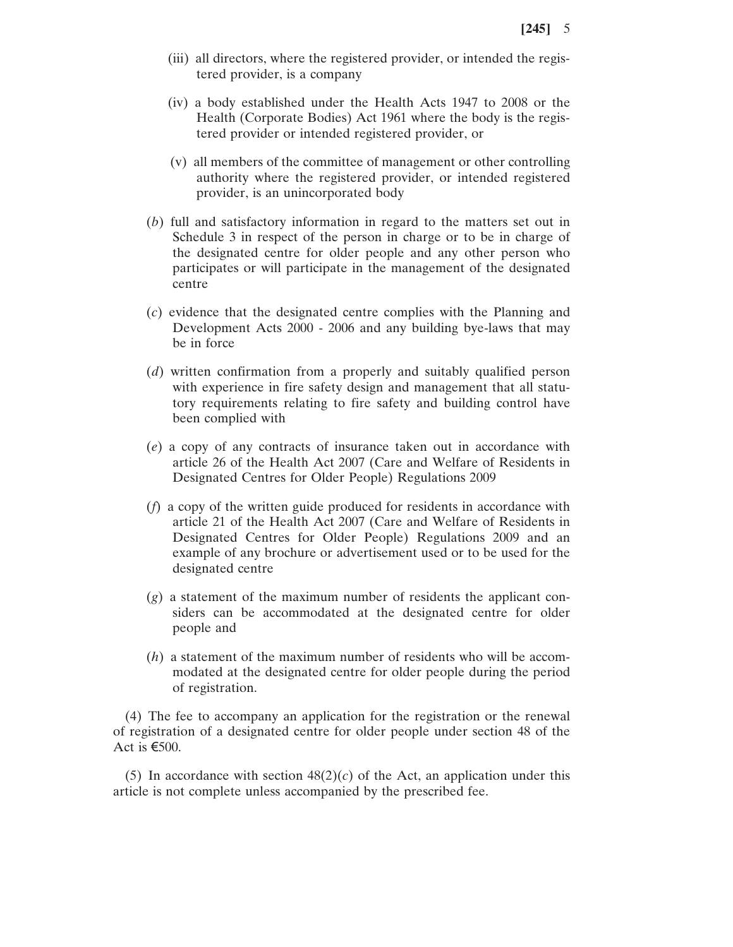- (iii) all directors, where the registered provider, or intended the registered provider, is a company
- (iv) a body established under the Health Acts 1947 to 2008 or the Health (Corporate Bodies) Act 1961 where the body is the registered provider or intended registered provider, or
- (v) all members of the committee of management or other controlling authority where the registered provider, or intended registered provider, is an unincorporated body
- (*b*) full and satisfactory information in regard to the matters set out in Schedule 3 in respect of the person in charge or to be in charge of the designated centre for older people and any other person who participates or will participate in the management of the designated centre
- (*c*) evidence that the designated centre complies with the Planning and Development Acts 2000 - 2006 and any building bye-laws that may be in force
- (*d*) written confirmation from a properly and suitably qualified person with experience in fire safety design and management that all statutory requirements relating to fire safety and building control have been complied with
- (*e*) a copy of any contracts of insurance taken out in accordance with article 26 of the Health Act 2007 (Care and Welfare of Residents in Designated Centres for Older People) Regulations 2009
- (*f*) a copy of the written guide produced for residents in accordance with article 21 of the Health Act 2007 (Care and Welfare of Residents in Designated Centres for Older People) Regulations 2009 and an example of any brochure or advertisement used or to be used for the designated centre
- (*g*) a statement of the maximum number of residents the applicant considers can be accommodated at the designated centre for older people and
- (*h*) a statement of the maximum number of residents who will be accommodated at the designated centre for older people during the period of registration.

(4) The fee to accompany an application for the registration or the renewal of registration of a designated centre for older people under section 48 of the Act is  $\epsilon$ 500.

(5) In accordance with section  $48(2)(c)$  of the Act, an application under this article is not complete unless accompanied by the prescribed fee.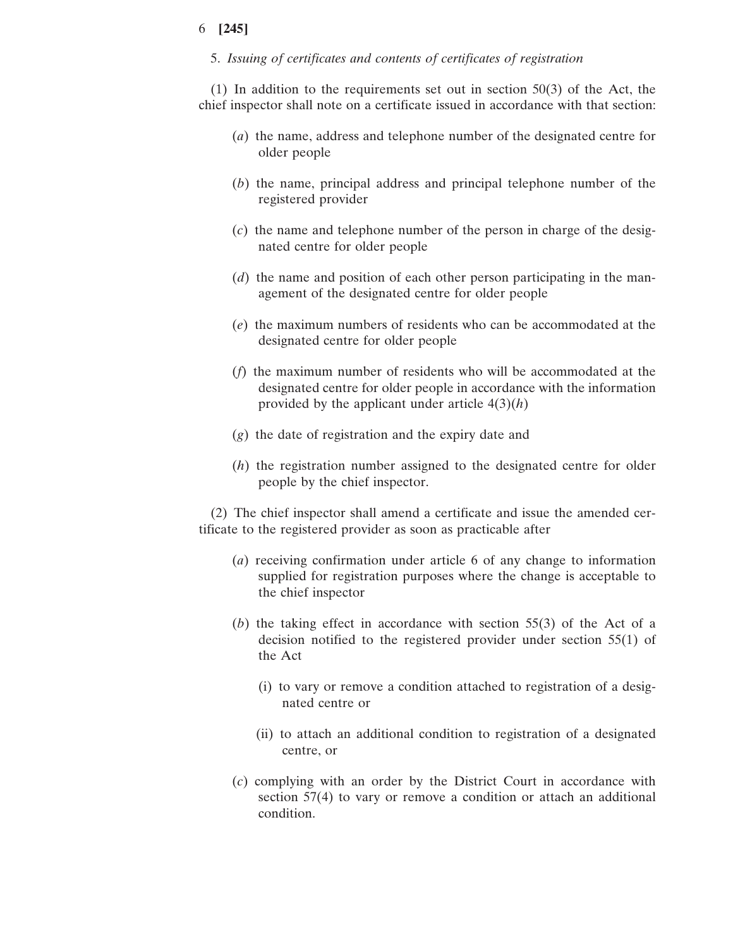5. *Issuing of certificates and contents of certificates of registration*

(1) In addition to the requirements set out in section 50(3) of the Act, the chief inspector shall note on a certificate issued in accordance with that section:

- (*a*) the name, address and telephone number of the designated centre for older people
- (*b*) the name, principal address and principal telephone number of the registered provider
- (*c*) the name and telephone number of the person in charge of the designated centre for older people
- (*d*) the name and position of each other person participating in the management of the designated centre for older people
- (*e*) the maximum numbers of residents who can be accommodated at the designated centre for older people
- (*f*) the maximum number of residents who will be accommodated at the designated centre for older people in accordance with the information provided by the applicant under article 4(3)(*h*)
- (*g*) the date of registration and the expiry date and
- (*h*) the registration number assigned to the designated centre for older people by the chief inspector.

(2) The chief inspector shall amend a certificate and issue the amended certificate to the registered provider as soon as practicable after

- (*a*) receiving confirmation under article 6 of any change to information supplied for registration purposes where the change is acceptable to the chief inspector
- (*b*) the taking effect in accordance with section 55(3) of the Act of a decision notified to the registered provider under section 55(1) of the Act
	- (i) to vary or remove a condition attached to registration of a designated centre or
	- (ii) to attach an additional condition to registration of a designated centre, or
- (*c*) complying with an order by the District Court in accordance with section 57(4) to vary or remove a condition or attach an additional condition.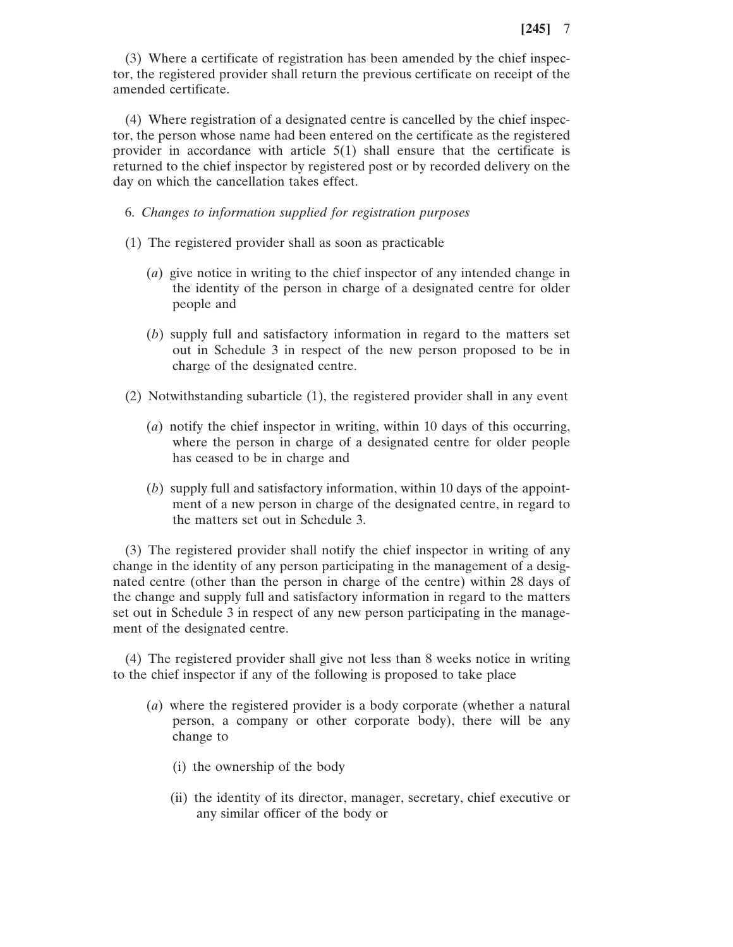(3) Where a certificate of registration has been amended by the chief inspector, the registered provider shall return the previous certificate on receipt of the amended certificate.

(4) Where registration of a designated centre is cancelled by the chief inspector, the person whose name had been entered on the certificate as the registered provider in accordance with article 5(1) shall ensure that the certificate is returned to the chief inspector by registered post or by recorded delivery on the day on which the cancellation takes effect.

6. *Changes to information supplied for registration purposes*

- (1) The registered provider shall as soon as practicable
	- (*a*) give notice in writing to the chief inspector of any intended change in the identity of the person in charge of a designated centre for older people and
	- (*b*) supply full and satisfactory information in regard to the matters set out in Schedule 3 in respect of the new person proposed to be in charge of the designated centre.
- (2) Notwithstanding subarticle (1), the registered provider shall in any event
	- (*a*) notify the chief inspector in writing, within 10 days of this occurring, where the person in charge of a designated centre for older people has ceased to be in charge and
	- (*b*) supply full and satisfactory information, within 10 days of the appointment of a new person in charge of the designated centre, in regard to the matters set out in Schedule 3.

(3) The registered provider shall notify the chief inspector in writing of any change in the identity of any person participating in the management of a designated centre (other than the person in charge of the centre) within 28 days of the change and supply full and satisfactory information in regard to the matters set out in Schedule 3 in respect of any new person participating in the management of the designated centre.

(4) The registered provider shall give not less than 8 weeks notice in writing to the chief inspector if any of the following is proposed to take place

- (*a*) where the registered provider is a body corporate (whether a natural person, a company or other corporate body), there will be any change to
	- (i) the ownership of the body
	- (ii) the identity of its director, manager, secretary, chief executive or any similar officer of the body or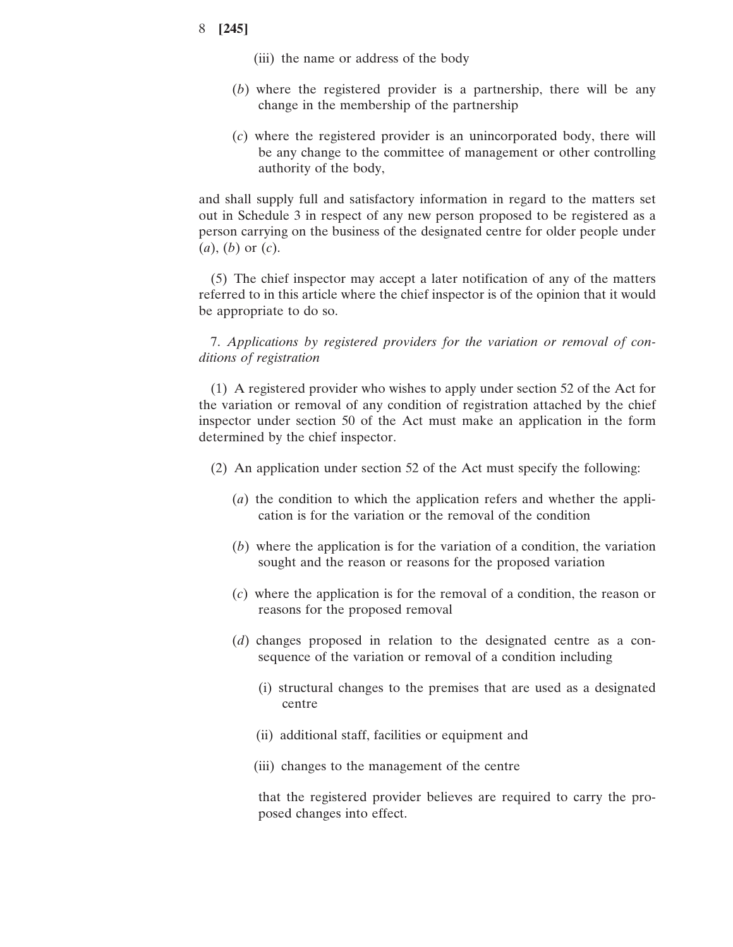- (iii) the name or address of the body
- (*b*) where the registered provider is a partnership, there will be any change in the membership of the partnership
- (*c*) where the registered provider is an unincorporated body, there will be any change to the committee of management or other controlling authority of the body,

and shall supply full and satisfactory information in regard to the matters set out in Schedule 3 in respect of any new person proposed to be registered as a person carrying on the business of the designated centre for older people under (*a*), (*b*) or (*c*).

(5) The chief inspector may accept a later notification of any of the matters referred to in this article where the chief inspector is of the opinion that it would be appropriate to do so.

7. *Applications by registered providers for the variation or removal of conditions of registration*

(1) A registered provider who wishes to apply under section 52 of the Act for the variation or removal of any condition of registration attached by the chief inspector under section 50 of the Act must make an application in the form determined by the chief inspector.

- (2) An application under section 52 of the Act must specify the following:
	- (*a*) the condition to which the application refers and whether the application is for the variation or the removal of the condition
	- (*b*) where the application is for the variation of a condition, the variation sought and the reason or reasons for the proposed variation
	- (*c*) where the application is for the removal of a condition, the reason or reasons for the proposed removal
	- (*d*) changes proposed in relation to the designated centre as a consequence of the variation or removal of a condition including
		- (i) structural changes to the premises that are used as a designated centre
		- (ii) additional staff, facilities or equipment and
		- (iii) changes to the management of the centre

that the registered provider believes are required to carry the proposed changes into effect.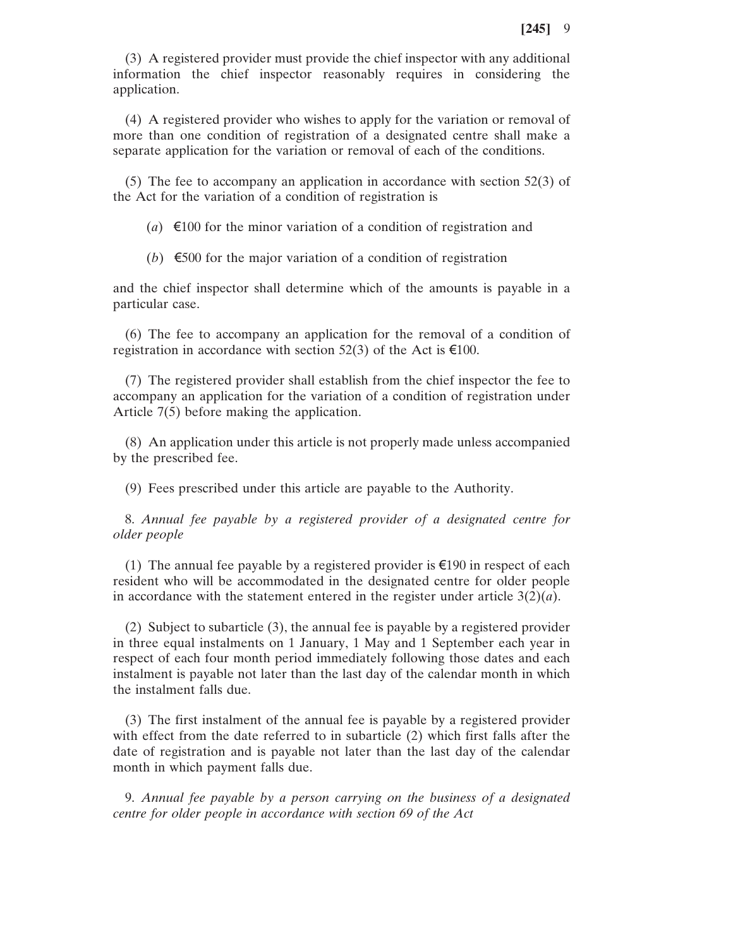(3) A registered provider must provide the chief inspector with any additional information the chief inspector reasonably requires in considering the application.

(4) A registered provider who wishes to apply for the variation or removal of more than one condition of registration of a designated centre shall make a separate application for the variation or removal of each of the conditions.

(5) The fee to accompany an application in accordance with section 52(3) of the Act for the variation of a condition of registration is

(*a*)  $\epsilon$ 100 for the minor variation of a condition of registration and

(b)  $\epsilon$ 500 for the major variation of a condition of registration

and the chief inspector shall determine which of the amounts is payable in a particular case.

(6) The fee to accompany an application for the removal of a condition of registration in accordance with section 52(3) of the Act is  $\epsilon$ 100.

(7) The registered provider shall establish from the chief inspector the fee to accompany an application for the variation of a condition of registration under Article 7(5) before making the application.

(8) An application under this article is not properly made unless accompanied by the prescribed fee.

(9) Fees prescribed under this article are payable to the Authority.

8. *Annual fee payable by a registered provider of a designated centre for older people*

(1) The annual fee payable by a registered provider is  $\epsilon$ 190 in respect of each resident who will be accommodated in the designated centre for older people in accordance with the statement entered in the register under article 3(2)(*a*).

(2) Subject to subarticle (3), the annual fee is payable by a registered provider in three equal instalments on 1 January, 1 May and 1 September each year in respect of each four month period immediately following those dates and each instalment is payable not later than the last day of the calendar month in which the instalment falls due.

(3) The first instalment of the annual fee is payable by a registered provider with effect from the date referred to in subarticle (2) which first falls after the date of registration and is payable not later than the last day of the calendar month in which payment falls due.

9. *Annual fee payable by a person carrying on the business of a designated centre for older people in accordance with section 69 of the Act*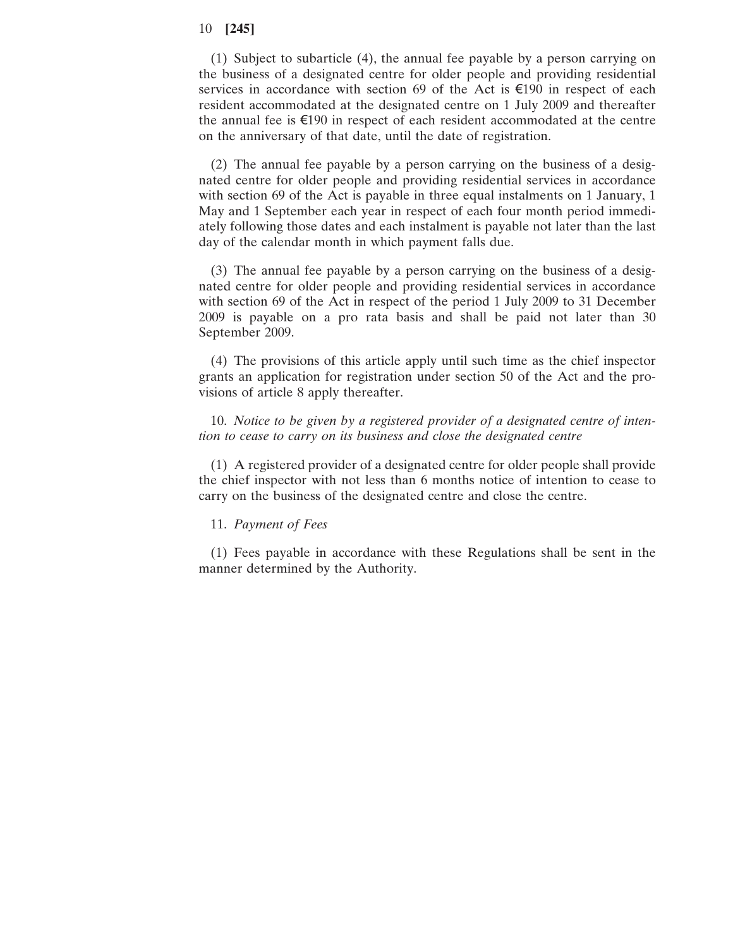(1) Subject to subarticle (4), the annual fee payable by a person carrying on the business of a designated centre for older people and providing residential services in accordance with section 69 of the Act is  $\epsilon$ 190 in respect of each resident accommodated at the designated centre on 1 July 2009 and thereafter the annual fee is  $\epsilon$ 190 in respect of each resident accommodated at the centre on the anniversary of that date, until the date of registration.

(2) The annual fee payable by a person carrying on the business of a designated centre for older people and providing residential services in accordance with section 69 of the Act is payable in three equal instalments on 1 January, 1 May and 1 September each year in respect of each four month period immediately following those dates and each instalment is payable not later than the last day of the calendar month in which payment falls due.

(3) The annual fee payable by a person carrying on the business of a designated centre for older people and providing residential services in accordance with section 69 of the Act in respect of the period 1 July 2009 to 31 December 2009 is payable on a pro rata basis and shall be paid not later than 30 September 2009.

(4) The provisions of this article apply until such time as the chief inspector grants an application for registration under section 50 of the Act and the provisions of article 8 apply thereafter.

10. *Notice to be given by a registered provider of a designated centre of intention to cease to carry on its business and close the designated centre*

(1) A registered provider of a designated centre for older people shall provide the chief inspector with not less than 6 months notice of intention to cease to carry on the business of the designated centre and close the centre.

#### 11. *Payment of Fees*

(1) Fees payable in accordance with these Regulations shall be sent in the manner determined by the Authority.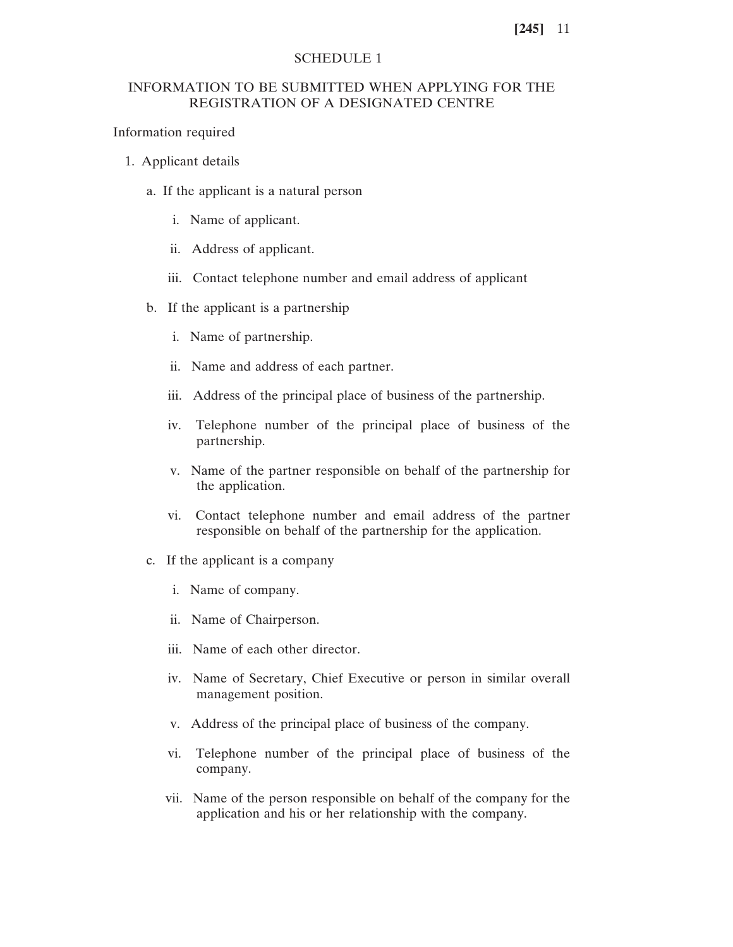#### SCHEDULE 1

# INFORMATION TO BE SUBMITTED WHEN APPLYING FOR THE REGISTRATION OF A DESIGNATED CENTRE

## Information required

- 1. Applicant details
	- a. If the applicant is a natural person
		- i. Name of applicant.
		- ii. Address of applicant.
		- iii. Contact telephone number and email address of applicant
	- b. If the applicant is a partnership
		- i. Name of partnership.
		- ii. Name and address of each partner.
		- iii. Address of the principal place of business of the partnership.
		- iv. Telephone number of the principal place of business of the partnership.
		- v. Name of the partner responsible on behalf of the partnership for the application.
		- vi. Contact telephone number and email address of the partner responsible on behalf of the partnership for the application.
	- c. If the applicant is a company
		- i. Name of company.
		- ii. Name of Chairperson.
		- iii. Name of each other director.
		- iv. Name of Secretary, Chief Executive or person in similar overall management position.
		- v. Address of the principal place of business of the company.
		- vi. Telephone number of the principal place of business of the company.
		- vii. Name of the person responsible on behalf of the company for the application and his or her relationship with the company.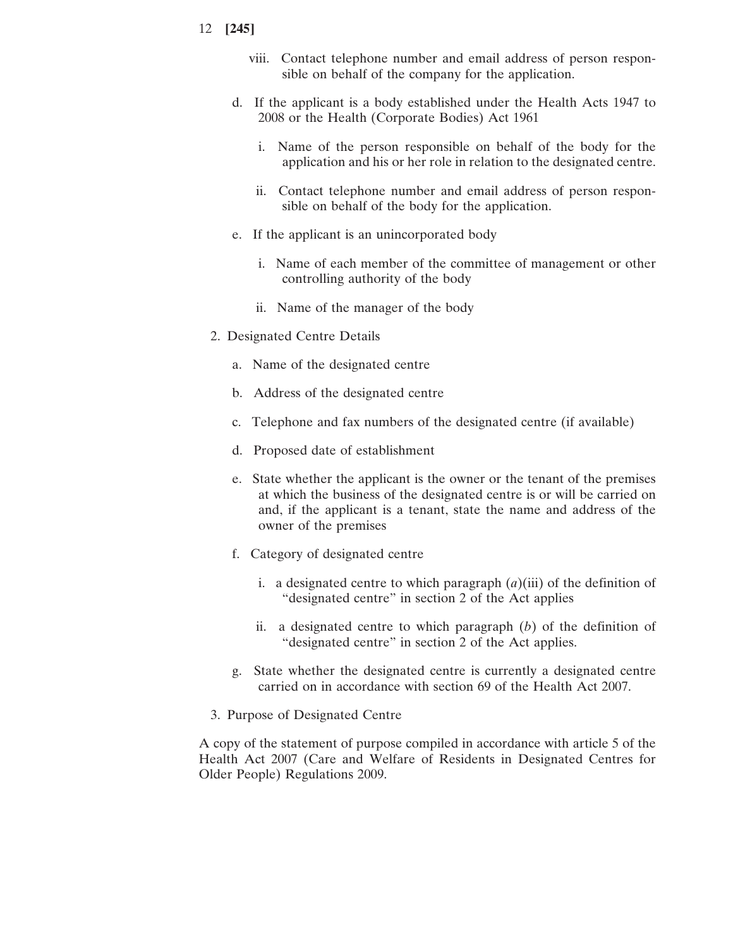- viii. Contact telephone number and email address of person responsible on behalf of the company for the application.
- d. If the applicant is a body established under the Health Acts 1947 to 2008 or the Health (Corporate Bodies) Act 1961
	- i. Name of the person responsible on behalf of the body for the application and his or her role in relation to the designated centre.
	- ii. Contact telephone number and email address of person responsible on behalf of the body for the application.
- e. If the applicant is an unincorporated body
	- i. Name of each member of the committee of management or other controlling authority of the body
	- ii. Name of the manager of the body
- 2. Designated Centre Details
	- a. Name of the designated centre
	- b. Address of the designated centre
	- c. Telephone and fax numbers of the designated centre (if available)
	- d. Proposed date of establishment
	- e. State whether the applicant is the owner or the tenant of the premises at which the business of the designated centre is or will be carried on and, if the applicant is a tenant, state the name and address of the owner of the premises
	- f. Category of designated centre
		- i. a designated centre to which paragraph  $(a)$ (iii) of the definition of "designated centre" in section 2 of the Act applies
		- ii. a designated centre to which paragraph (*b*) of the definition of "designated centre" in section 2 of the Act applies.
	- g. State whether the designated centre is currently a designated centre carried on in accordance with section 69 of the Health Act 2007.
- 3. Purpose of Designated Centre

A copy of the statement of purpose compiled in accordance with article 5 of the Health Act 2007 (Care and Welfare of Residents in Designated Centres for Older People) Regulations 2009.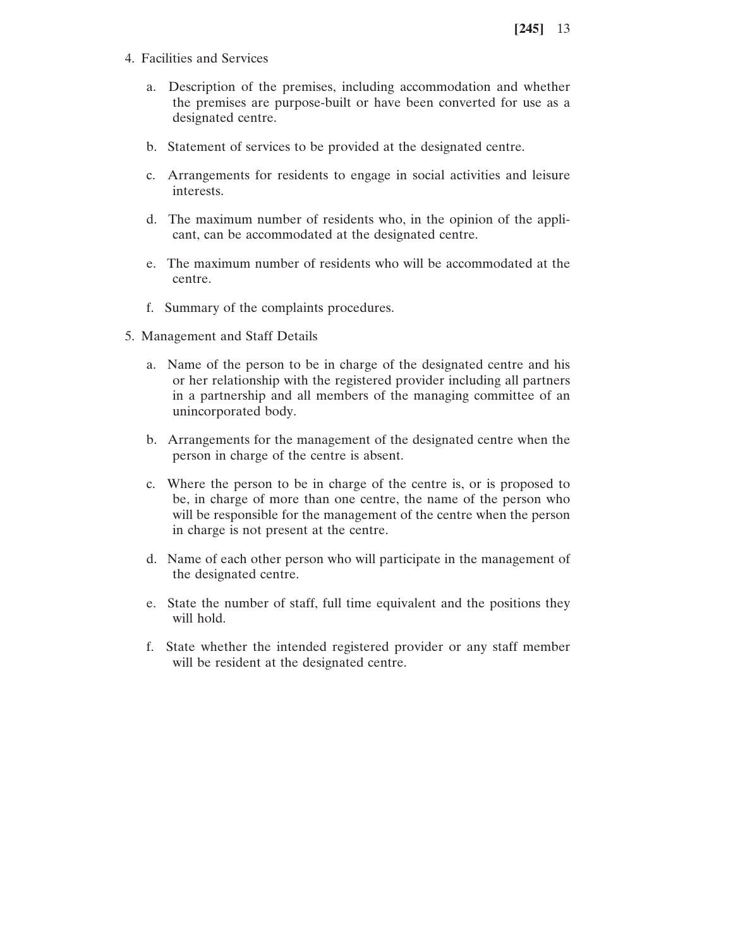- 4. Facilities and Services
	- a. Description of the premises, including accommodation and whether the premises are purpose-built or have been converted for use as a designated centre.
	- b. Statement of services to be provided at the designated centre.
	- c. Arrangements for residents to engage in social activities and leisure interests.
	- d. The maximum number of residents who, in the opinion of the applicant, can be accommodated at the designated centre.
	- e. The maximum number of residents who will be accommodated at the centre.
	- f. Summary of the complaints procedures.
- 5. Management and Staff Details
	- a. Name of the person to be in charge of the designated centre and his or her relationship with the registered provider including all partners in a partnership and all members of the managing committee of an unincorporated body.
	- b. Arrangements for the management of the designated centre when the person in charge of the centre is absent.
	- c. Where the person to be in charge of the centre is, or is proposed to be, in charge of more than one centre, the name of the person who will be responsible for the management of the centre when the person in charge is not present at the centre.
	- d. Name of each other person who will participate in the management of the designated centre.
	- e. State the number of staff, full time equivalent and the positions they will hold.
	- f. State whether the intended registered provider or any staff member will be resident at the designated centre.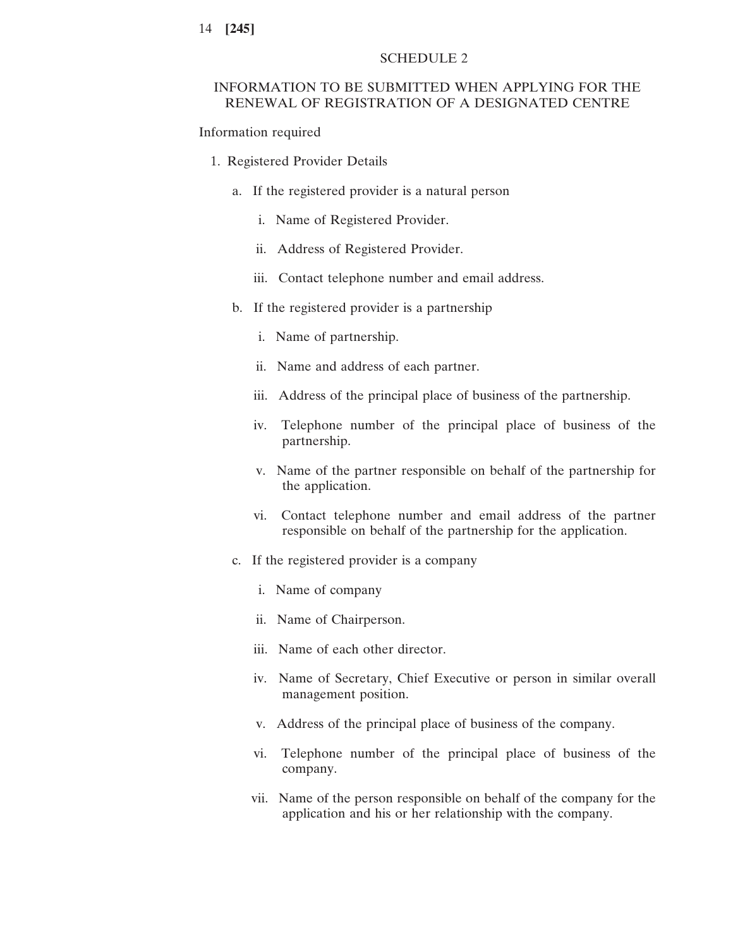## SCHEDULE 2

# INFORMATION TO BE SUBMITTED WHEN APPLYING FOR THE RENEWAL OF REGISTRATION OF A DESIGNATED CENTRE

#### Information required

- 1. Registered Provider Details
	- a. If the registered provider is a natural person
		- i. Name of Registered Provider.
		- ii. Address of Registered Provider.
		- iii. Contact telephone number and email address.
	- b. If the registered provider is a partnership
		- i. Name of partnership.
		- ii. Name and address of each partner.
		- iii. Address of the principal place of business of the partnership.
		- iv. Telephone number of the principal place of business of the partnership.
		- v. Name of the partner responsible on behalf of the partnership for the application.
		- vi. Contact telephone number and email address of the partner responsible on behalf of the partnership for the application.
	- c. If the registered provider is a company
		- i. Name of company
		- ii. Name of Chairperson.
		- iii. Name of each other director.
		- iv. Name of Secretary, Chief Executive or person in similar overall management position.
		- v. Address of the principal place of business of the company.
		- vi. Telephone number of the principal place of business of the company.
		- vii. Name of the person responsible on behalf of the company for the application and his or her relationship with the company.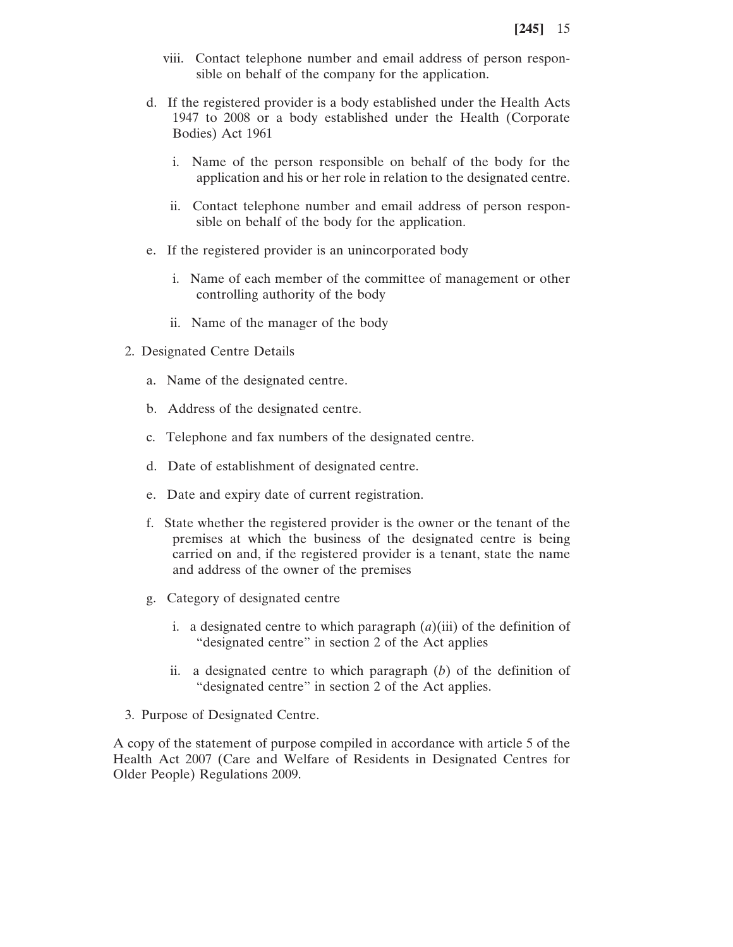- viii. Contact telephone number and email address of person responsible on behalf of the company for the application.
- d. If the registered provider is a body established under the Health Acts 1947 to 2008 or a body established under the Health (Corporate Bodies) Act 1961
	- i. Name of the person responsible on behalf of the body for the application and his or her role in relation to the designated centre.
	- ii. Contact telephone number and email address of person responsible on behalf of the body for the application.
- e. If the registered provider is an unincorporated body
	- i. Name of each member of the committee of management or other controlling authority of the body
	- ii. Name of the manager of the body
- 2. Designated Centre Details
	- a. Name of the designated centre.
	- b. Address of the designated centre.
	- c. Telephone and fax numbers of the designated centre.
	- d. Date of establishment of designated centre.
	- e. Date and expiry date of current registration.
	- f. State whether the registered provider is the owner or the tenant of the premises at which the business of the designated centre is being carried on and, if the registered provider is a tenant, state the name and address of the owner of the premises
	- g. Category of designated centre
		- i. a designated centre to which paragraph  $(a)$ (iii) of the definition of "designated centre" in section 2 of the Act applies
		- ii. a designated centre to which paragraph (*b*) of the definition of "designated centre" in section 2 of the Act applies.
- 3. Purpose of Designated Centre.

A copy of the statement of purpose compiled in accordance with article 5 of the Health Act 2007 (Care and Welfare of Residents in Designated Centres for Older People) Regulations 2009.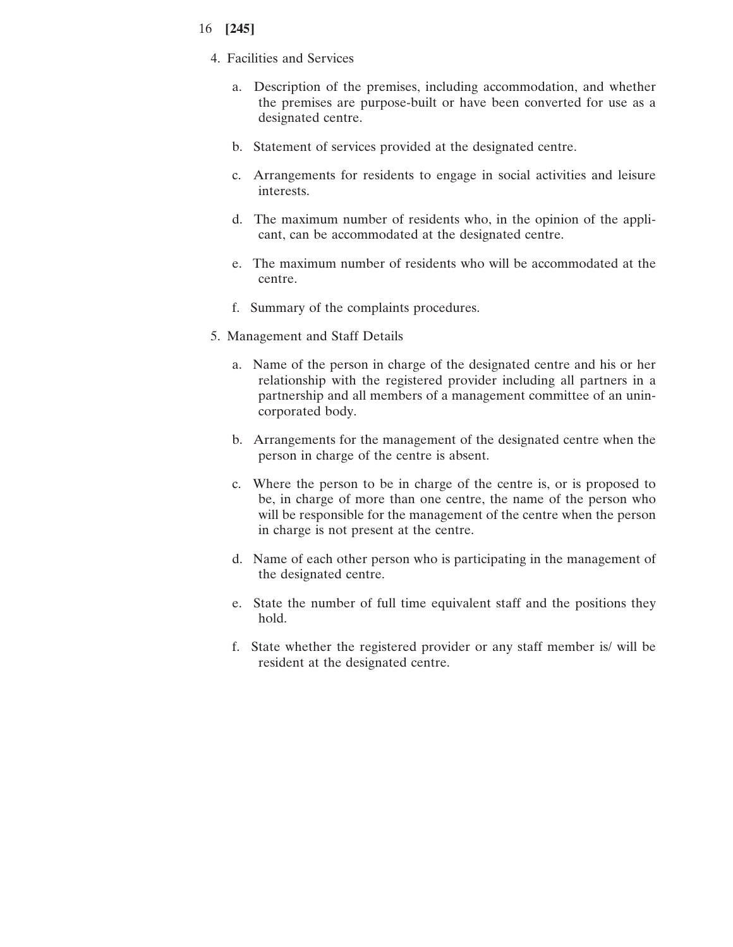- 4. Facilities and Services
	- a. Description of the premises, including accommodation, and whether the premises are purpose-built or have been converted for use as a designated centre.
	- b. Statement of services provided at the designated centre.
	- c. Arrangements for residents to engage in social activities and leisure interests.
	- d. The maximum number of residents who, in the opinion of the applicant, can be accommodated at the designated centre.
	- e. The maximum number of residents who will be accommodated at the centre.
	- f. Summary of the complaints procedures.
- 5. Management and Staff Details
	- a. Name of the person in charge of the designated centre and his or her relationship with the registered provider including all partners in a partnership and all members of a management committee of an unincorporated body.
	- b. Arrangements for the management of the designated centre when the person in charge of the centre is absent.
	- c. Where the person to be in charge of the centre is, or is proposed to be, in charge of more than one centre, the name of the person who will be responsible for the management of the centre when the person in charge is not present at the centre.
	- d. Name of each other person who is participating in the management of the designated centre.
	- e. State the number of full time equivalent staff and the positions they hold.
	- f. State whether the registered provider or any staff member is/ will be resident at the designated centre.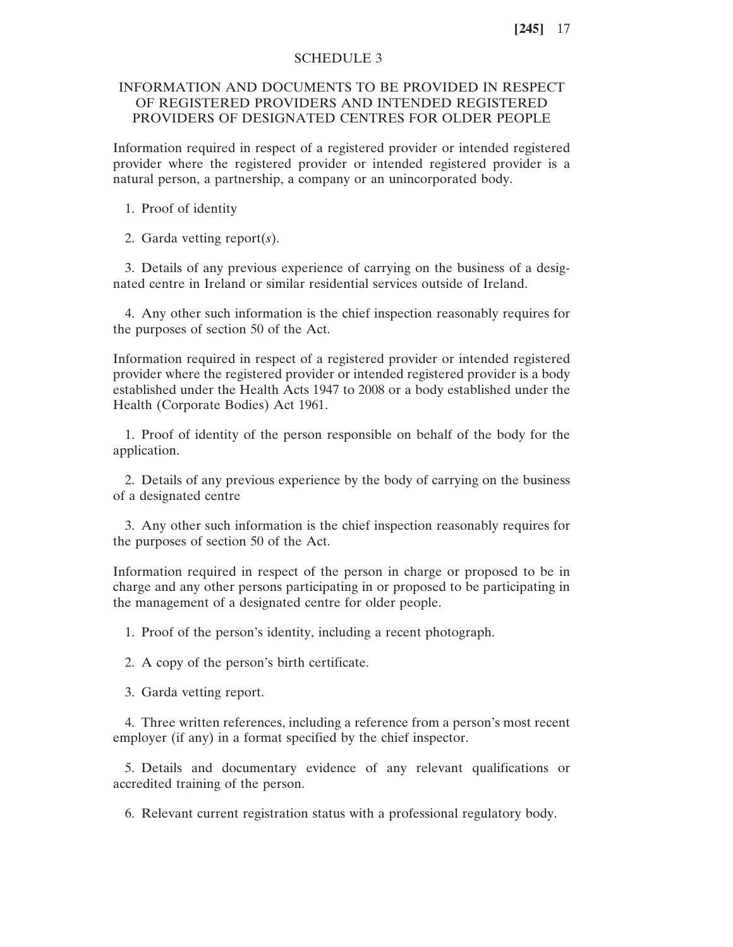## SCHEDULE 3

# INFORMATION AND DOCUMENTS TO BE PROVIDED IN RESPECT OF REGISTERED PROVIDERS AND INTENDED REGISTERED PROVIDERS OF DESIGNATED CENTRES FOR OLDER PEOPLE

Information required in respect of a registered provider or intended registered provider where the registered provider or intended registered provider is a natural person, a partnership, a company or an unincorporated body.

1. Proof of identity

2. Garda vetting report(*s*).

3. Details of any previous experience of carrying on the business of a designated centre in Ireland or similar residential services outside of Ireland.

4. Any other such information is the chief inspection reasonably requires for the purposes of section 50 of the Act.

Information required in respect of a registered provider or intended registered provider where the registered provider or intended registered provider is a body established under the Health Acts 1947 to 2008 or a body established under the Health (Corporate Bodies) Act 1961.

1. Proof of identity of the person responsible on behalf of the body for the application.

2. Details of any previous experience by the body of carrying on the business of a designated centre

3. Any other such information is the chief inspection reasonably requires for the purposes of section 50 of the Act.

Information required in respect of the person in charge or proposed to be in charge and any other persons participating in or proposed to be participating in the management of a designated centre for older people.

1. Proof of the person's identity, including a recent photograph.

2. A copy of the person's birth certificate.

3. Garda vetting report.

4. Three written references, including a reference from a person's most recent employer (if any) in a format specified by the chief inspector.

5. Details and documentary evidence of any relevant qualifications or accredited training of the person.

6. Relevant current registration status with a professional regulatory body.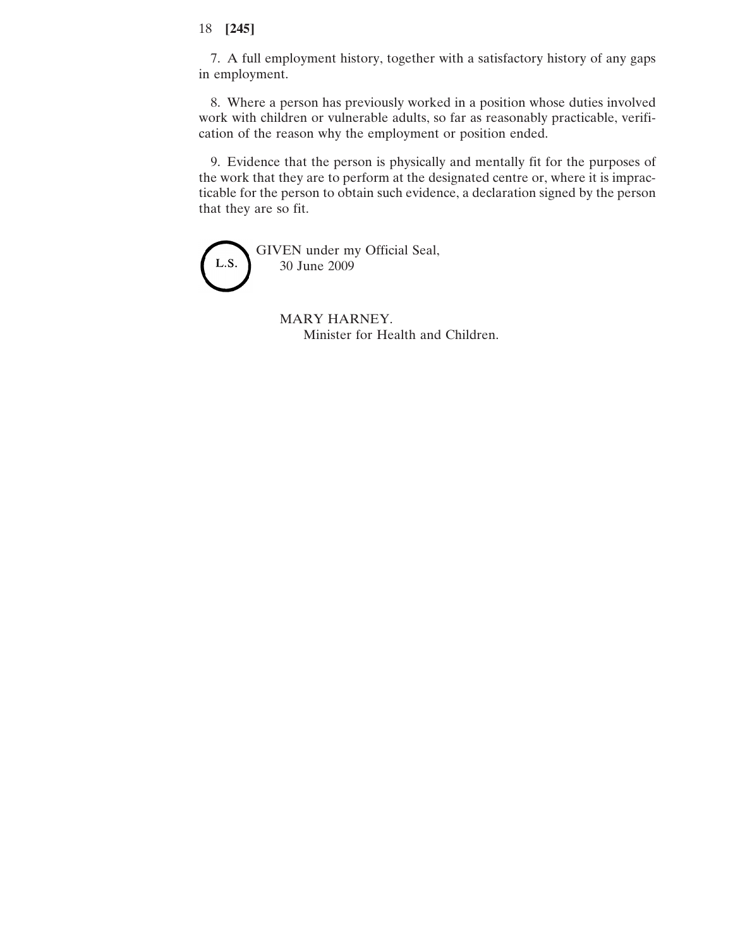7. A full employment history, together with a satisfactory history of any gaps in employment.

8. Where a person has previously worked in a position whose duties involved work with children or vulnerable adults, so far as reasonably practicable, verification of the reason why the employment or position ended.

9. Evidence that the person is physically and mentally fit for the purposes of the work that they are to perform at the designated centre or, where it is impracticable for the person to obtain such evidence, a declaration signed by the person that they are so fit.

GIVEN under my Official Seal, L.S. 30 June 2009

> MARY HARNEY. Minister for Health and Children.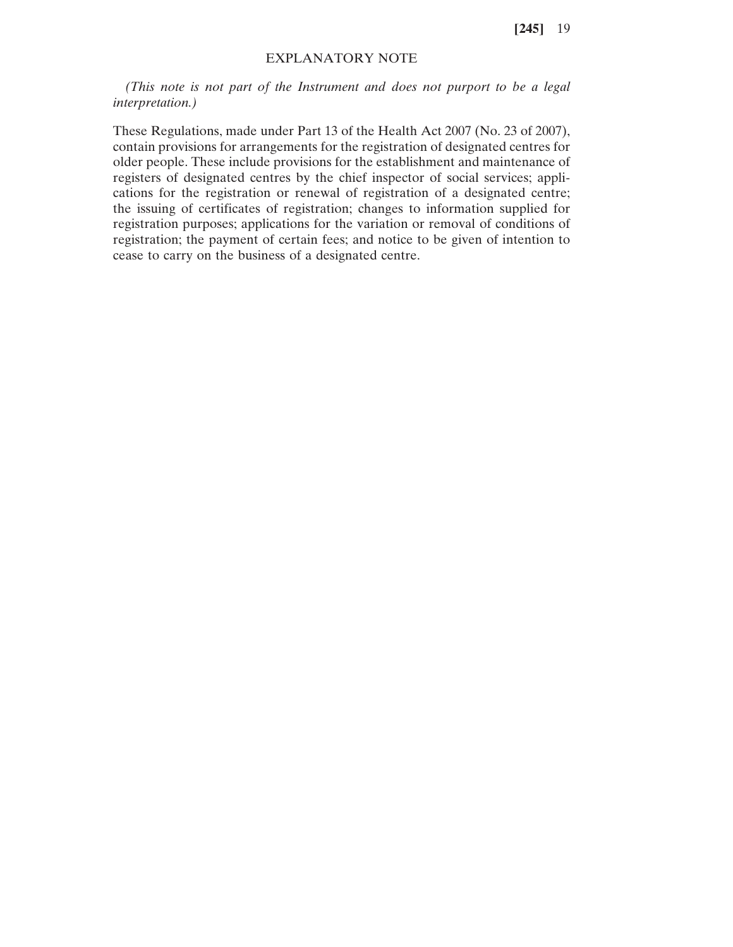# EXPLANATORY NOTE

*(This note is not part of the Instrument and does not purport to be a legal interpretation.)*

These Regulations, made under Part 13 of the Health Act 2007 (No. 23 of 2007), contain provisions for arrangements for the registration of designated centres for older people. These include provisions for the establishment and maintenance of registers of designated centres by the chief inspector of social services; applications for the registration or renewal of registration of a designated centre; the issuing of certificates of registration; changes to information supplied for registration purposes; applications for the variation or removal of conditions of registration; the payment of certain fees; and notice to be given of intention to cease to carry on the business of a designated centre.